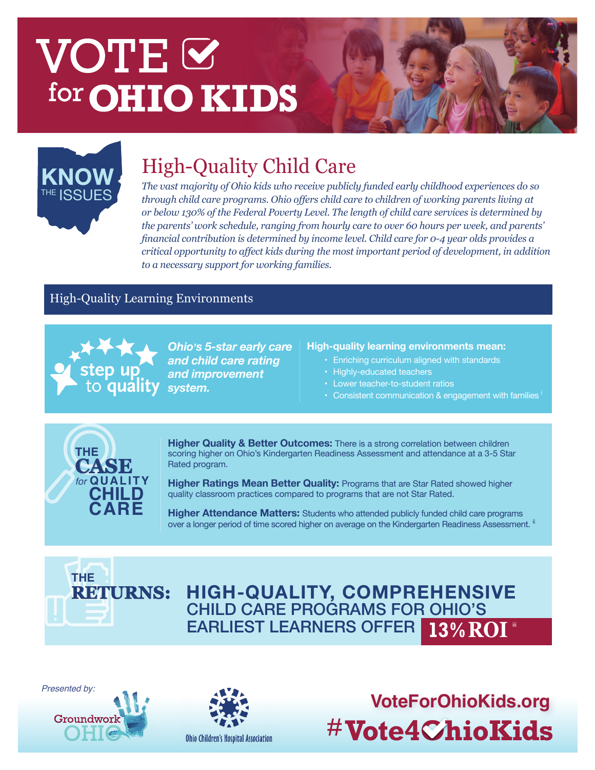# VOTE<sup>I</sup> for **OHIO KIDS**



### High-Quality Child Care **KNOW**

*The vast majority of Ohio kids who receive publicly funded early childhood experiences do so through child care programs. Ohio offers child care to children of working parents living at or below 130% of the Federal Poverty Level. The length of child care services is determined by the parents' work schedule, ranging from hourly care to over 60 hours per week, and parents' financial contribution is determined by income level. Child care for 0-4 year olds provides a critical opportunity to affect kids during the most important period of development, in addition to a necessary support for working families.* 

#### High-Quality Learning Environments



*Ohio's 5-star early care and child care rating and improvement* 

#### **High-quality learning environments mean:**

- • Enriching curriculum aligned with standards
- • Highly-educated teachers
- • Lower teacher-to-student ratios
- Consistent communication  $\&$  engagement with families  $\frac{1}{2}$



**Higher Quality & Better Outcomes:** There is a strong correlation between children scoring higher on Ohio's Kindergarten Readiness Assessment and attendance at a 3-5 Star Rated program.

**Higher Ratings Mean Better Quality: Programs that are Star Rated showed higher** quality classroom practices compared to programs that are not Star Rated.

**Higher Attendance Matters:** Students who attended publicly funded child care programs over a longer period of time scored higher on average on the Kindergarten Readiness Assessment. <sup>ii</sup>



CHILD CARE PROGRAMS FOR OHIO'S EARLIEST LEARNERS OFFER **HIGH-QUALITY, COMPREHENSIVE 13% ROI** 

*Presented by:*





**VoteForOhioKids.org** #Vote4ChioKids